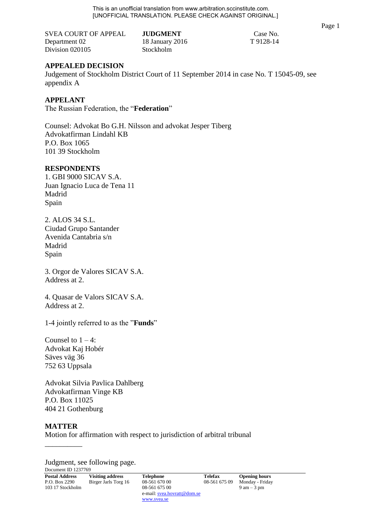This is an unofficial translation from www.arbitration.sccinstitute.com. [UNOFFICIAL TRANSLATION. PLEASE CHECK AGAINST ORIGINAL.]

SVEA COURT OF APPEAL **JUDGMENT** Case No. Department 02 18 January 2016 T 9128-14 Division 020105 Stockholm

# **APPEALED DECISION**

Judgement of Stockholm District Court of 11 September 2014 in case No. T 15045-09, see appendix A

# **APPELANT**

The Russian Federation, the "**Federation**"

Counsel: Advokat Bo G.H. Nilsson and advokat Jesper Tiberg Advokatfirman Lindahl KB P.O. Box 1065 101 39 Stockholm

## **RESPONDENTS**

1. GBI 9000 SICAV S.A. Juan Ignacio Luca de Tena 11 Madrid Spain

2. ALOS 34 S.L. Ciudad Grupo Santander Avenida Cantabria s/n Madrid Spain

3. Orgor de Valores SICAV S.A. Address at 2.

4. Quasar de Valors SICAV S.A. Address at 2.

1-4 jointly referred to as the "**Funds**"

Counsel to  $1 - 4$ : Advokat Kaj Hobér Säves väg 36 752 63 Uppsala

Advokat Silvia Pavlica Dahlberg Advokatfirman Vinge KB P.O. Box 11025 404 21 Gothenburg

## **MATTER**

\_\_\_\_\_\_\_\_\_\_

Motion for affirmation with respect to jurisdiction of arbitral tribunal

Document ID 1237769 Judgment, see following page.

| <b>Postal Address</b> | <b>Visiting address</b> | <b>Telephone</b>            | <b>Telefax</b> | <b>Opening hours</b>          |  |
|-----------------------|-------------------------|-----------------------------|----------------|-------------------------------|--|
| P.O. Box 2290         | Birger Jarls Torg 16    | 08-561 670 00               | 08-561 675 09  | Monday - Friday               |  |
| 103 17 Stockholm      |                         | 08-561 675 00               |                | $9 \text{ am} - 3 \text{ pm}$ |  |
|                       |                         | e-mail: svea.hovratt@dom.se |                |                               |  |
|                       |                         | www.svea.se                 |                |                               |  |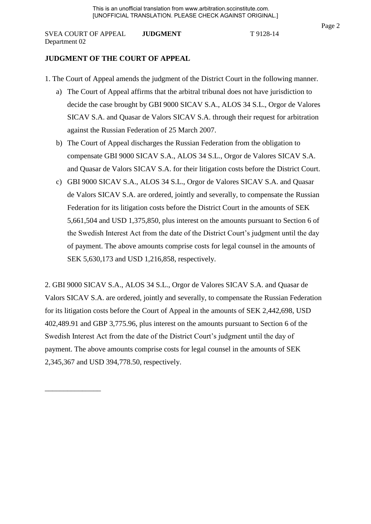# **JUDGMENT OF THE COURT OF APPEAL**

\_\_\_\_\_\_\_\_\_\_\_\_\_\_\_

- 1. The Court of Appeal amends the judgment of the District Court in the following manner.
	- a) The Court of Appeal affirms that the arbitral tribunal does not have jurisdiction to decide the case brought by GBI 9000 SICAV S.A., ALOS 34 S.L., Orgor de Valores SICAV S.A. and Quasar de Valors SICAV S.A. through their request for arbitration against the Russian Federation of 25 March 2007.
	- b) The Court of Appeal discharges the Russian Federation from the obligation to compensate GBI 9000 SICAV S.A., ALOS 34 S.L., Orgor de Valores SICAV S.A. and Quasar de Valors SICAV S.A. for their litigation costs before the District Court.
	- c) GBI 9000 SICAV S.A., ALOS 34 S.L., Orgor de Valores SICAV S.A. and Quasar de Valors SICAV S.A. are ordered, jointly and severally, to compensate the Russian Federation for its litigation costs before the District Court in the amounts of SEK 5,661,504 and USD 1,375,850, plus interest on the amounts pursuant to Section 6 of the Swedish Interest Act from the date of the District Court's judgment until the day of payment. The above amounts comprise costs for legal counsel in the amounts of SEK 5,630,173 and USD 1,216,858, respectively.

2. GBI 9000 SICAV S.A., ALOS 34 S.L., Orgor de Valores SICAV S.A. and Quasar de Valors SICAV S.A. are ordered, jointly and severally, to compensate the Russian Federation for its litigation costs before the Court of Appeal in the amounts of SEK 2,442,698, USD 402,489.91 and GBP 3,775.96, plus interest on the amounts pursuant to Section 6 of the Swedish Interest Act from the date of the District Court's judgment until the day of payment. The above amounts comprise costs for legal counsel in the amounts of SEK 2,345,367 and USD 394,778.50, respectively.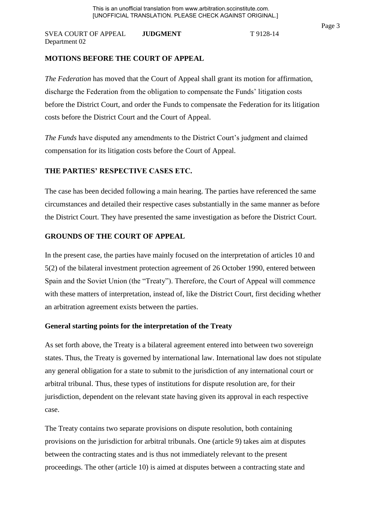*The Federation* has moved that the Court of Appeal shall grant its motion for affirmation, discharge the Federation from the obligation to compensate the Funds' litigation costs before the District Court, and order the Funds to compensate the Federation for its litigation costs before the District Court and the Court of Appeal.

*The Funds* have disputed any amendments to the District Court's judgment and claimed compensation for its litigation costs before the Court of Appeal.

# **THE PARTIES' RESPECTIVE CASES ETC.**

The case has been decided following a main hearing. The parties have referenced the same circumstances and detailed their respective cases substantially in the same manner as before the District Court. They have presented the same investigation as before the District Court.

# **GROUNDS OF THE COURT OF APPEAL**

In the present case, the parties have mainly focused on the interpretation of articles 10 and 5(2) of the bilateral investment protection agreement of 26 October 1990, entered between Spain and the Soviet Union (the "Treaty"). Therefore, the Court of Appeal will commence with these matters of interpretation, instead of, like the District Court, first deciding whether an arbitration agreement exists between the parties.

# **General starting points for the interpretation of the Treaty**

As set forth above, the Treaty is a bilateral agreement entered into between two sovereign states. Thus, the Treaty is governed by international law. International law does not stipulate any general obligation for a state to submit to the jurisdiction of any international court or arbitral tribunal. Thus, these types of institutions for dispute resolution are, for their jurisdiction, dependent on the relevant state having given its approval in each respective case.

The Treaty contains two separate provisions on dispute resolution, both containing provisions on the jurisdiction for arbitral tribunals. One (article 9) takes aim at disputes between the contracting states and is thus not immediately relevant to the present proceedings. The other (article 10) is aimed at disputes between a contracting state and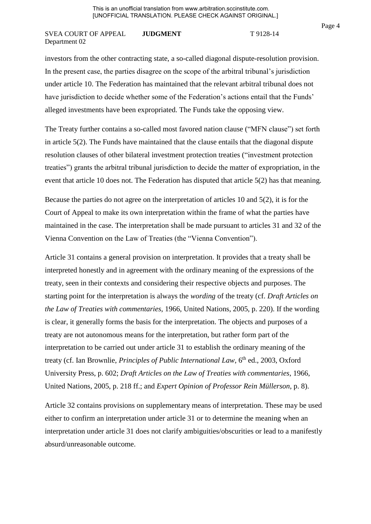investors from the other contracting state, a so-called diagonal dispute-resolution provision. In the present case, the parties disagree on the scope of the arbitral tribunal's jurisdiction under article 10. The Federation has maintained that the relevant arbitral tribunal does not have jurisdiction to decide whether some of the Federation's actions entail that the Funds' alleged investments have been expropriated. The Funds take the opposing view.

The Treaty further contains a so-called most favored nation clause ("MFN clause") set forth in article 5(2). The Funds have maintained that the clause entails that the diagonal dispute resolution clauses of other bilateral investment protection treaties ("investment protection treaties") grants the arbitral tribunal jurisdiction to decide the matter of expropriation, in the event that article 10 does not. The Federation has disputed that article 5(2) has that meaning.

Because the parties do not agree on the interpretation of articles 10 and 5(2), it is for the Court of Appeal to make its own interpretation within the frame of what the parties have maintained in the case. The interpretation shall be made pursuant to articles 31 and 32 of the Vienna Convention on the Law of Treaties (the "Vienna Convention").

Article 31 contains a general provision on interpretation. It provides that a treaty shall be interpreted honestly and in agreement with the ordinary meaning of the expressions of the treaty, seen in their contexts and considering their respective objects and purposes. The starting point for the interpretation is always the *wording* of the treaty (cf. *Draft Articles on the Law of Treaties with commentaries*, 1966, United Nations, 2005, p. 220). If the wording is clear, it generally forms the basis for the interpretation. The objects and purposes of a treaty are not autonomous means for the interpretation, but rather form part of the interpretation to be carried out under article 31 to establish the ordinary meaning of the treaty (cf. Ian Brownlie, *Principles of Public International Law*, 6<sup>th</sup> ed., 2003, Oxford University Press, p. 602; *Draft Articles on the Law of Treaties with commentaries*, 1966, United Nations, 2005, p. 218 ff.; and *Expert Opinion of Professor Rein Müllerson*, p. 8).

Article 32 contains provisions on supplementary means of interpretation. These may be used either to confirm an interpretation under article 31 or to determine the meaning when an interpretation under article 31 does not clarify ambiguities/obscurities or lead to a manifestly absurd/unreasonable outcome.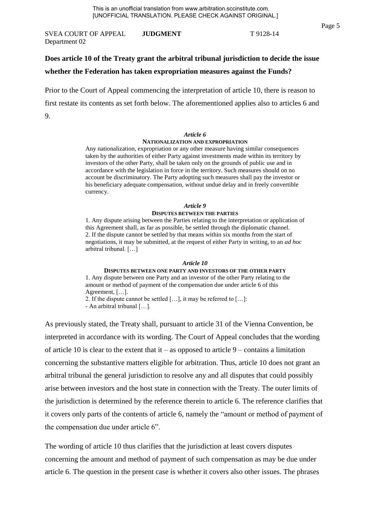# **Does article 10 of the Treaty grant the arbitral tribunal jurisdiction to decide the issue whether the Federation has taken expropriation measures against the Funds?**

Prior to the Court of Appeal commencing the interpretation of article 10, there is reason to first restate its contents as set forth below. The aforementioned applies also to articles 6 and 9.

#### *Article 6*

#### **NATIONALIZATION AND EXPROPRIATION**

Any nationalization, expropriation or any other measure having similar consequences taken by the authorities of either Party against investments made within its territory by investors of the other Party, shall be taken only on the grounds of public use and in accordance with the legislation in force in the territory. Such measures should on no account be discriminatory. The Party adopting such measures shall pay the investor or his beneficiary adequate compensation, without undue delay and in freely convertible currency.

#### *Article 9*  **DISPUTES BETWEEN THE PARTIES**

1. Any dispute arising between the Parties relating to the interpretation or application of this Agreement shall, as far as possible, be settled through the diplomatic channel. 2. If the dispute cannot be settled by that means within six months from the start of negotiations, it may be submitted, at the request of either Party in writing, to an *ad hoc*  arbitral tribunal. […]

#### *Article 10*

**DISPUTES BETWEEN ONE PARTY AND INVESTORS OF THE OTHER PARTY**  1. Any dispute between one Party and an investor of the other Party relating to the amount or method of payment of the compensation due under article 6 of this Agreement, […].

2. If the dispute cannot be settled […], it may be referred to […]: - An arbitral tribunal […].

As previously stated, the Treaty shall, pursuant to article 31 of the Vienna Convention, be interpreted in accordance with its wording. The Court of Appeal concludes that the wording of article 10 is clear to the extent that it – as opposed to article  $9$  – contains a limitation concerning the substantive matters eligible for arbitration. Thus, article 10 does not grant an arbitral tribunal the general jurisdiction to resolve any and all disputes that could possibly arise between investors and the host state in connection with the Treaty. The outer limits of the jurisdiction is determined by the reference therein to article 6. The reference clarifies that it covers only parts of the contents of article 6, namely the "amount or method of payment of the compensation due under article 6".

The wording of article 10 thus clarifies that the jurisdiction at least covers disputes concerning the amount and method of payment of such compensation as may be due under article 6. The question in the present case is whether it covers also other issues. The phrases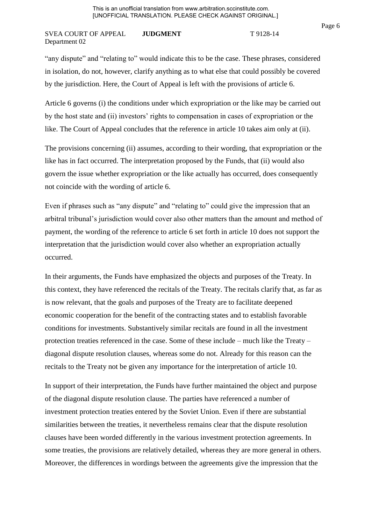"any dispute" and "relating to" would indicate this to be the case. These phrases, considered in isolation, do not, however, clarify anything as to what else that could possibly be covered by the jurisdiction. Here, the Court of Appeal is left with the provisions of article 6.

Article 6 governs (i) the conditions under which expropriation or the like may be carried out by the host state and (ii) investors' rights to compensation in cases of expropriation or the like. The Court of Appeal concludes that the reference in article 10 takes aim only at (ii).

The provisions concerning (ii) assumes, according to their wording, that expropriation or the like has in fact occurred. The interpretation proposed by the Funds, that (ii) would also govern the issue whether expropriation or the like actually has occurred, does consequently not coincide with the wording of article 6.

Even if phrases such as "any dispute" and "relating to" could give the impression that an arbitral tribunal's jurisdiction would cover also other matters than the amount and method of payment, the wording of the reference to article 6 set forth in article 10 does not support the interpretation that the jurisdiction would cover also whether an expropriation actually occurred.

In their arguments, the Funds have emphasized the objects and purposes of the Treaty. In this context, they have referenced the recitals of the Treaty. The recitals clarify that, as far as is now relevant, that the goals and purposes of the Treaty are to facilitate deepened economic cooperation for the benefit of the contracting states and to establish favorable conditions for investments. Substantively similar recitals are found in all the investment protection treaties referenced in the case. Some of these include – much like the Treaty – diagonal dispute resolution clauses, whereas some do not. Already for this reason can the recitals to the Treaty not be given any importance for the interpretation of article 10.

In support of their interpretation, the Funds have further maintained the object and purpose of the diagonal dispute resolution clause. The parties have referenced a number of investment protection treaties entered by the Soviet Union. Even if there are substantial similarities between the treaties, it nevertheless remains clear that the dispute resolution clauses have been worded differently in the various investment protection agreements. In some treaties, the provisions are relatively detailed, whereas they are more general in others. Moreover, the differences in wordings between the agreements give the impression that the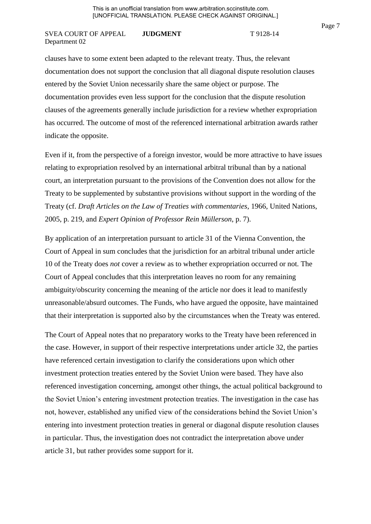clauses have to some extent been adapted to the relevant treaty. Thus, the relevant documentation does not support the conclusion that all diagonal dispute resolution clauses entered by the Soviet Union necessarily share the same object or purpose. The documentation provides even less support for the conclusion that the dispute resolution clauses of the agreements generally include jurisdiction for a review whether expropriation has occurred. The outcome of most of the referenced international arbitration awards rather indicate the opposite.

Even if it, from the perspective of a foreign investor, would be more attractive to have issues relating to expropriation resolved by an international arbitral tribunal than by a national court, an interpretation pursuant to the provisions of the Convention does not allow for the Treaty to be supplemented by substantive provisions without support in the wording of the Treaty (cf. *Draft Articles on the Law of Treaties with commentaries*, 1966, United Nations, 2005, p. 219, and *Expert Opinion of Professor Rein Müllerson*, p. 7).

By application of an interpretation pursuant to article 31 of the Vienna Convention, the Court of Appeal in sum concludes that the jurisdiction for an arbitral tribunal under article 10 of the Treaty does *not* cover a review as to whether expropriation occurred or not. The Court of Appeal concludes that this interpretation leaves no room for any remaining ambiguity/obscurity concerning the meaning of the article nor does it lead to manifestly unreasonable/absurd outcomes. The Funds, who have argued the opposite, have maintained that their interpretation is supported also by the circumstances when the Treaty was entered.

The Court of Appeal notes that no preparatory works to the Treaty have been referenced in the case. However, in support of their respective interpretations under article 32, the parties have referenced certain investigation to clarify the considerations upon which other investment protection treaties entered by the Soviet Union were based. They have also referenced investigation concerning, amongst other things, the actual political background to the Soviet Union's entering investment protection treaties. The investigation in the case has not, however, established any unified view of the considerations behind the Soviet Union's entering into investment protection treaties in general or diagonal dispute resolution clauses in particular. Thus, the investigation does not contradict the interpretation above under article 31, but rather provides some support for it.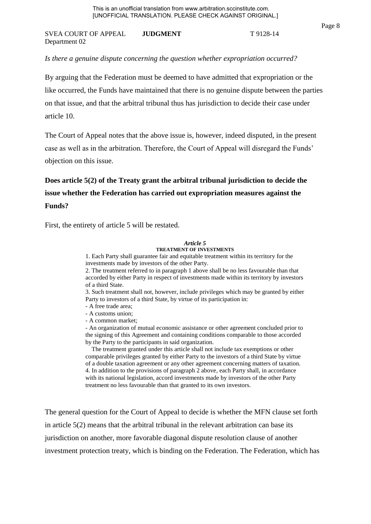### *Is there a genuine dispute concerning the question whether expropriation occurred?*

By arguing that the Federation must be deemed to have admitted that expropriation or the like occurred, the Funds have maintained that there is no genuine dispute between the parties on that issue, and that the arbitral tribunal thus has jurisdiction to decide their case under article 10.

The Court of Appeal notes that the above issue is, however, indeed disputed, in the present case as well as in the arbitration. Therefore, the Court of Appeal will disregard the Funds' objection on this issue.

# **Does article 5(2) of the Treaty grant the arbitral tribunal jurisdiction to decide the issue whether the Federation has carried out expropriation measures against the Funds?**

First, the entirety of article 5 will be restated.

#### *Article 5*  **TREATMENT OF INVESTMENTS**

1. Each Party shall guarantee fair and equitable treatment within its territory for the

investments made by investors of the other Party.

2. The treatment referred to in paragraph 1 above shall be no less favourable than that accorded by either Party in respect of investments made within its territory by investors of a third State.

3. Such treatment shall not, however, include privileges which may be granted by either Party to investors of a third State, by virtue of its participation in:

- A free trade area;
- A customs union;
- A common market;

- An organization of mutual economic assistance or other agreement concluded prior to the signing of this Agreement and containing conditions comparable to those accorded by the Party to the participants in said organization.

 The treatment granted under this article shall not include tax exemptions or other comparable privileges granted by either Party to the investors of a third State by virtue of a double taxation agreement or any other agreement concerning matters of taxation. 4. In addition to the provisions of paragraph 2 above, each Party shall, in accordance with its national legislation, accord investments made by investors of the other Party treatment no less favourable than that granted to its own investors.

The general question for the Court of Appeal to decide is whether the MFN clause set forth in article 5(2) means that the arbitral tribunal in the relevant arbitration can base its jurisdiction on another, more favorable diagonal dispute resolution clause of another investment protection treaty, which is binding on the Federation. The Federation, which has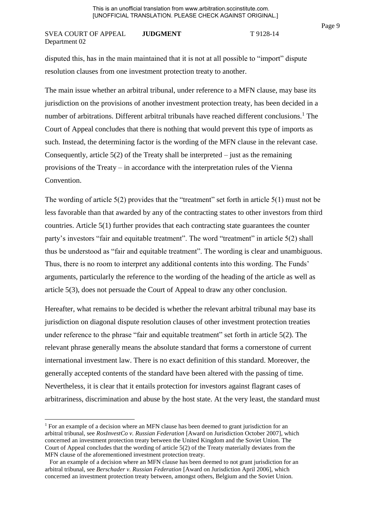disputed this, has in the main maintained that it is not at all possible to "import" dispute resolution clauses from one investment protection treaty to another.

The main issue whether an arbitral tribunal, under reference to a MFN clause, may base its jurisdiction on the provisions of another investment protection treaty, has been decided in a number of arbitrations. Different arbitral tribunals have reached different conclusions.<sup>1</sup> The Court of Appeal concludes that there is nothing that would prevent this type of imports as such. Instead, the determining factor is the wording of the MFN clause in the relevant case. Consequently, article  $5(2)$  of the Treaty shall be interpreted – just as the remaining provisions of the Treaty – in accordance with the interpretation rules of the Vienna Convention.

The wording of article 5(2) provides that the "treatment" set forth in article 5(1) must not be less favorable than that awarded by any of the contracting states to other investors from third countries. Article 5(1) further provides that each contracting state guarantees the counter party's investors "fair and equitable treatment". The word "treatment" in article 5(2) shall thus be understood as "fair and equitable treatment". The wording is clear and unambiguous. Thus, there is no room to interpret any additional contents into this wording. The Funds' arguments, particularly the reference to the wording of the heading of the article as well as article 5(3), does not persuade the Court of Appeal to draw any other conclusion.

Hereafter, what remains to be decided is whether the relevant arbitral tribunal may base its jurisdiction on diagonal dispute resolution clauses of other investment protection treaties under reference to the phrase "fair and equitable treatment" set forth in article 5(2). The relevant phrase generally means the absolute standard that forms a cornerstone of current international investment law. There is no exact definition of this standard. Moreover, the generally accepted contents of the standard have been altered with the passing of time. Nevertheless, it is clear that it entails protection for investors against flagrant cases of arbitrariness, discrimination and abuse by the host state. At the very least, the standard must

**.** 

<sup>&</sup>lt;sup>1</sup> For an example of a decision where an MFN clause has been deemed to grant jurisdiction for an arbitral tribunal, see *RosInvestCo v. Russian Federation* [Award on Jurisdiction October 2007], which concerned an investment protection treaty between the United Kingdom and the Soviet Union. The Court of Appeal concludes that the wording of article 5(2) of the Treaty materially deviates from the MFN clause of the aforementioned investment protection treaty.

For an example of a decision where an MFN clause has been deemed to not grant jurisdiction for an arbitral tribunal, see *Berschader v. Russian Federation* [Award on Jurisdiction April 2006], which concerned an investment protection treaty between, amongst others, Belgium and the Soviet Union.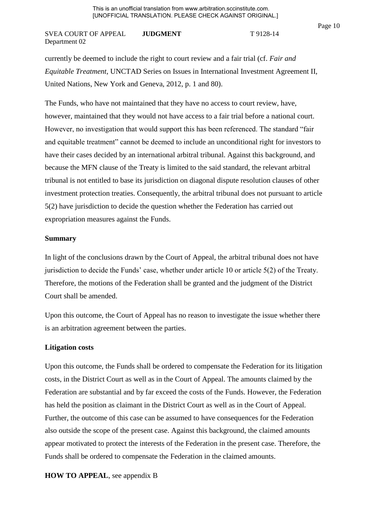currently be deemed to include the right to court review and a fair trial (cf. *Fair and Equitable Treatment*, UNCTAD Series on Issues in International Investment Agreement II, United Nations, New York and Geneva, 2012, p. 1 and 80).

The Funds, who have not maintained that they have no access to court review, have, however, maintained that they would not have access to a fair trial before a national court. However, no investigation that would support this has been referenced. The standard "fair and equitable treatment" cannot be deemed to include an unconditional right for investors to have their cases decided by an international arbitral tribunal. Against this background, and because the MFN clause of the Treaty is limited to the said standard, the relevant arbitral tribunal is not entitled to base its jurisdiction on diagonal dispute resolution clauses of other investment protection treaties. Consequently, the arbitral tribunal does not pursuant to article 5(2) have jurisdiction to decide the question whether the Federation has carried out expropriation measures against the Funds.

## **Summary**

In light of the conclusions drawn by the Court of Appeal, the arbitral tribunal does not have jurisdiction to decide the Funds' case, whether under article 10 or article 5(2) of the Treaty. Therefore, the motions of the Federation shall be granted and the judgment of the District Court shall be amended.

Upon this outcome, the Court of Appeal has no reason to investigate the issue whether there is an arbitration agreement between the parties.

## **Litigation costs**

Upon this outcome, the Funds shall be ordered to compensate the Federation for its litigation costs, in the District Court as well as in the Court of Appeal. The amounts claimed by the Federation are substantial and by far exceed the costs of the Funds. However, the Federation has held the position as claimant in the District Court as well as in the Court of Appeal. Further, the outcome of this case can be assumed to have consequences for the Federation also outside the scope of the present case. Against this background, the claimed amounts appear motivated to protect the interests of the Federation in the present case. Therefore, the Funds shall be ordered to compensate the Federation in the claimed amounts.

**HOW TO APPEAL**, see appendix B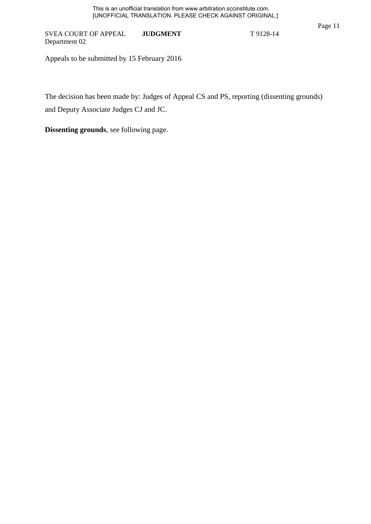Appeals to be submitted by 15 February 2016

The decision has been made by: Judges of Appeal CS and PS, reporting (dissenting grounds) and Deputy Associate Judges CJ and JC.

**Dissenting grounds**, see following page.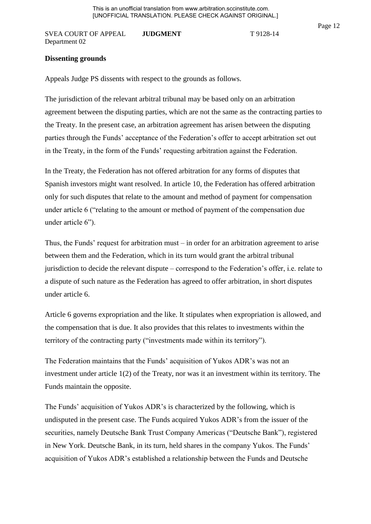## **Dissenting grounds**

Appeals Judge PS dissents with respect to the grounds as follows.

The jurisdiction of the relevant arbitral tribunal may be based only on an arbitration agreement between the disputing parties, which are not the same as the contracting parties to the Treaty. In the present case, an arbitration agreement has arisen between the disputing parties through the Funds' acceptance of the Federation's offer to accept arbitration set out in the Treaty, in the form of the Funds' requesting arbitration against the Federation.

In the Treaty, the Federation has not offered arbitration for any forms of disputes that Spanish investors might want resolved. In article 10, the Federation has offered arbitration only for such disputes that relate to the amount and method of payment for compensation under article 6 ("relating to the amount or method of payment of the compensation due under article 6").

Thus, the Funds' request for arbitration must – in order for an arbitration agreement to arise between them and the Federation, which in its turn would grant the arbitral tribunal jurisdiction to decide the relevant dispute – correspond to the Federation's offer, i.e. relate to a dispute of such nature as the Federation has agreed to offer arbitration, in short disputes under article 6.

Article 6 governs expropriation and the like. It stipulates when expropriation is allowed, and the compensation that is due. It also provides that this relates to investments within the territory of the contracting party ("investments made within its territory").

The Federation maintains that the Funds' acquisition of Yukos ADR's was not an investment under article 1(2) of the Treaty, nor was it an investment within its territory. The Funds maintain the opposite.

The Funds' acquisition of Yukos ADR's is characterized by the following, which is undisputed in the present case. The Funds acquired Yukos ADR's from the issuer of the securities, namely Deutsche Bank Trust Company Americas ("Deutsche Bank"), registered in New York. Deutsche Bank, in its turn, held shares in the company Yukos. The Funds' acquisition of Yukos ADR's established a relationship between the Funds and Deutsche